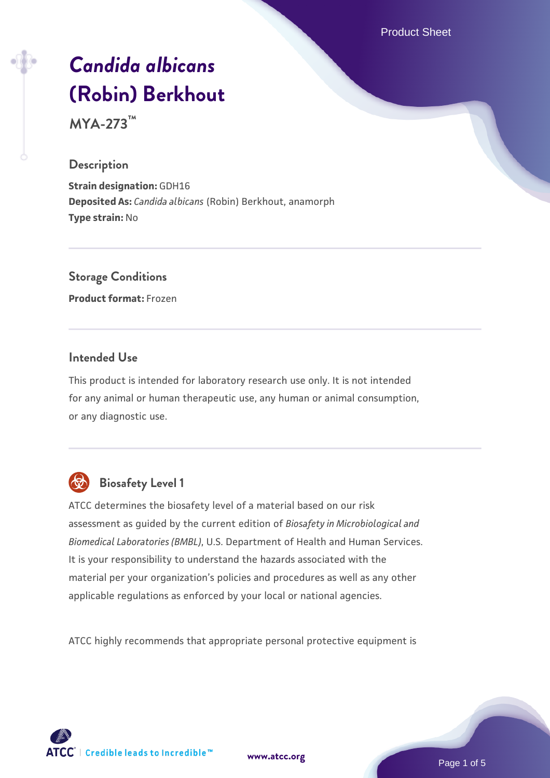Product Sheet

# *[Candida albicans](https://www.atcc.org/products/mya-273)* **[\(Robin\) Berkhout](https://www.atcc.org/products/mya-273)**

**MYA-273™**

#### **Description**

**Strain designation:** GDH16 **Deposited As:** *Candida albicans* (Robin) Berkhout, anamorph **Type strain:** No

# **Storage Conditions**

**Product format:** Frozen

## **Intended Use**

This product is intended for laboratory research use only. It is not intended for any animal or human therapeutic use, any human or animal consumption, or any diagnostic use.



# **Biosafety Level 1**

ATCC determines the biosafety level of a material based on our risk assessment as guided by the current edition of *Biosafety in Microbiological and Biomedical Laboratories (BMBL)*, U.S. Department of Health and Human Services. It is your responsibility to understand the hazards associated with the material per your organization's policies and procedures as well as any other applicable regulations as enforced by your local or national agencies.

ATCC highly recommends that appropriate personal protective equipment is

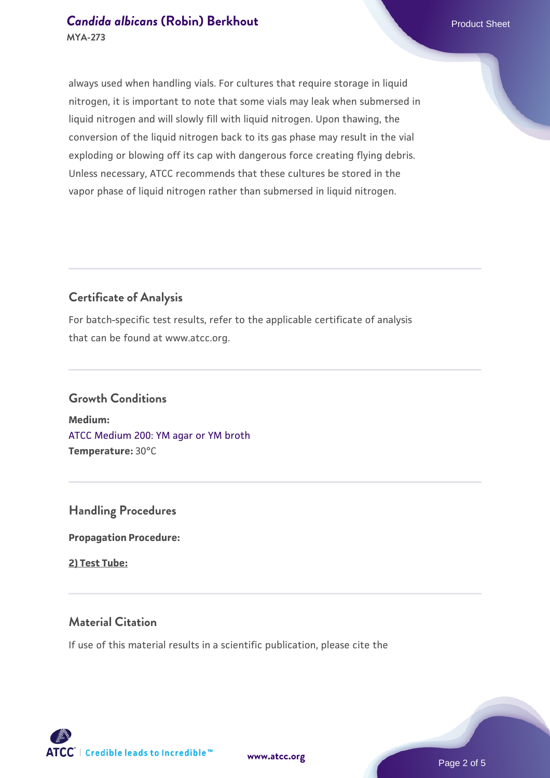### **[Candida albicans](https://www.atcc.org/products/mya-273) [\(Robin\) Berkhout](https://www.atcc.org/products/mya-273) Candida albicans** (Robin) Berkhout **MYA-273**

always used when handling vials. For cultures that require storage in liquid nitrogen, it is important to note that some vials may leak when submersed in liquid nitrogen and will slowly fill with liquid nitrogen. Upon thawing, the conversion of the liquid nitrogen back to its gas phase may result in the vial exploding or blowing off its cap with dangerous force creating flying debris. Unless necessary, ATCC recommends that these cultures be stored in the vapor phase of liquid nitrogen rather than submersed in liquid nitrogen.

# **Certificate of Analysis**

For batch-specific test results, refer to the applicable certificate of analysis that can be found at www.atcc.org.

# **Growth Conditions**

**Medium:**  [ATCC Medium 200: YM agar or YM broth](https://www.atcc.org/-/media/product-assets/documents/microbial-media-formulations/2/0/0/atcc-medium-200.pdf?rev=ac40fd74dc13433a809367b0b9da30fc) **Temperature:** 30°C

**Handling Procedures**

**Propagation Procedure:**

**2) Test Tube:**

# **Material Citation**

If use of this material results in a scientific publication, please cite the



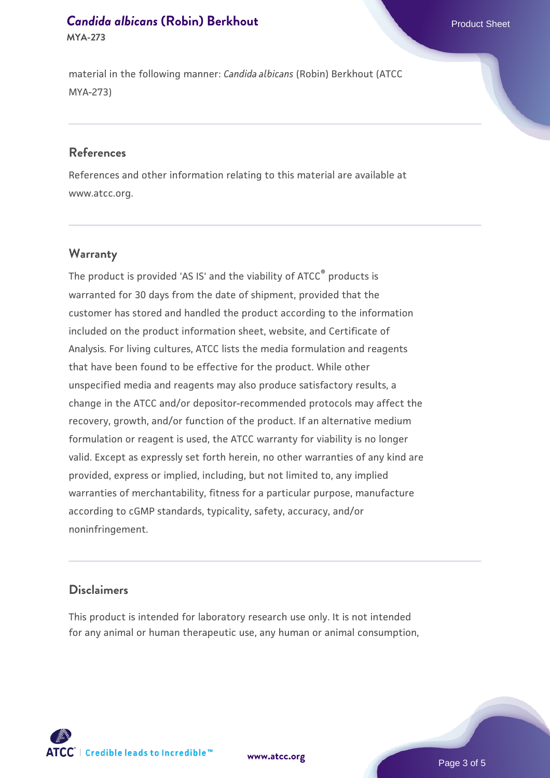#### **[Candida albicans](https://www.atcc.org/products/mya-273) [\(Robin\) Berkhout](https://www.atcc.org/products/mya-273) Candida albicans** (Robin) Berkhout **MYA-273**

material in the following manner: *Candida albicans* (Robin) Berkhout (ATCC MYA-273)

#### **References**

References and other information relating to this material are available at www.atcc.org.

# **Warranty**

The product is provided 'AS IS' and the viability of  $ATCC<sup>®</sup>$  products is warranted for 30 days from the date of shipment, provided that the customer has stored and handled the product according to the information included on the product information sheet, website, and Certificate of Analysis. For living cultures, ATCC lists the media formulation and reagents that have been found to be effective for the product. While other unspecified media and reagents may also produce satisfactory results, a change in the ATCC and/or depositor-recommended protocols may affect the recovery, growth, and/or function of the product. If an alternative medium formulation or reagent is used, the ATCC warranty for viability is no longer valid. Except as expressly set forth herein, no other warranties of any kind are provided, express or implied, including, but not limited to, any implied warranties of merchantability, fitness for a particular purpose, manufacture according to cGMP standards, typicality, safety, accuracy, and/or noninfringement.

#### **Disclaimers**

This product is intended for laboratory research use only. It is not intended for any animal or human therapeutic use, any human or animal consumption,





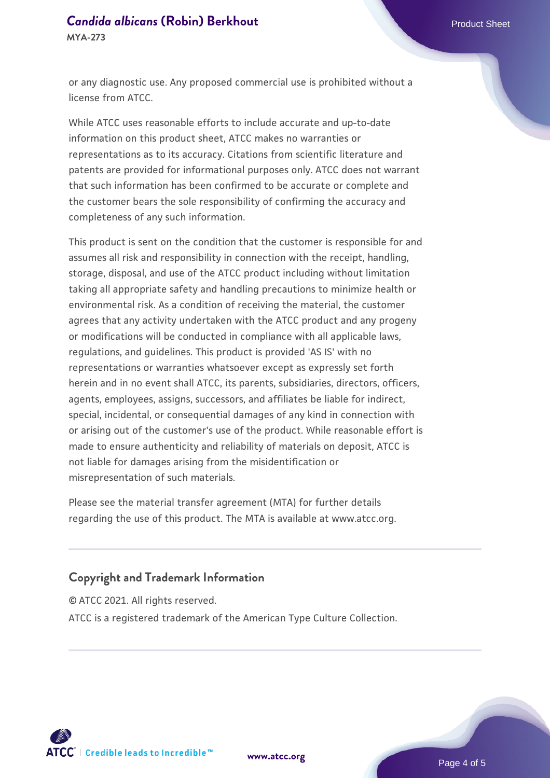#### **[Candida albicans](https://www.atcc.org/products/mya-273) [\(Robin\) Berkhout](https://www.atcc.org/products/mya-273) Candida albicans** (Robin) Berkhout **MYA-273**

or any diagnostic use. Any proposed commercial use is prohibited without a license from ATCC.

While ATCC uses reasonable efforts to include accurate and up-to-date information on this product sheet, ATCC makes no warranties or representations as to its accuracy. Citations from scientific literature and patents are provided for informational purposes only. ATCC does not warrant that such information has been confirmed to be accurate or complete and the customer bears the sole responsibility of confirming the accuracy and completeness of any such information.

This product is sent on the condition that the customer is responsible for and assumes all risk and responsibility in connection with the receipt, handling, storage, disposal, and use of the ATCC product including without limitation taking all appropriate safety and handling precautions to minimize health or environmental risk. As a condition of receiving the material, the customer agrees that any activity undertaken with the ATCC product and any progeny or modifications will be conducted in compliance with all applicable laws, regulations, and guidelines. This product is provided 'AS IS' with no representations or warranties whatsoever except as expressly set forth herein and in no event shall ATCC, its parents, subsidiaries, directors, officers, agents, employees, assigns, successors, and affiliates be liable for indirect, special, incidental, or consequential damages of any kind in connection with or arising out of the customer's use of the product. While reasonable effort is made to ensure authenticity and reliability of materials on deposit, ATCC is not liable for damages arising from the misidentification or misrepresentation of such materials.

Please see the material transfer agreement (MTA) for further details regarding the use of this product. The MTA is available at www.atcc.org.

# **Copyright and Trademark Information**

© ATCC 2021. All rights reserved.

ATCC is a registered trademark of the American Type Culture Collection.



**[www.atcc.org](http://www.atcc.org)**

Page 4 of 5